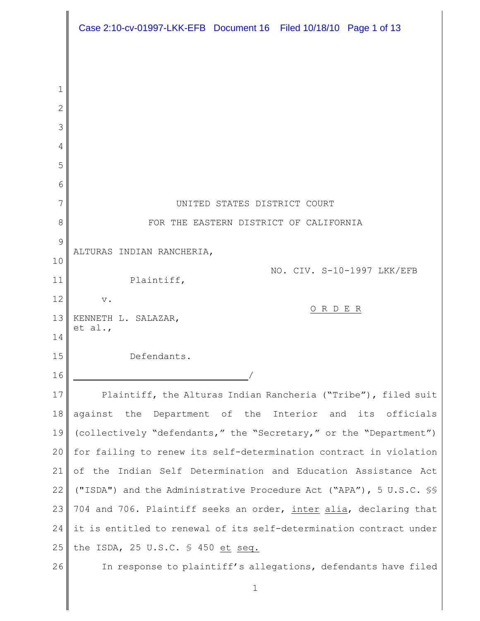|              | Case 2:10-cv-01997-LKK-EFB Document 16 Filed 10/18/10 Page 1 of 13 |
|--------------|--------------------------------------------------------------------|
|              |                                                                    |
| 1            |                                                                    |
| $\mathbf{2}$ |                                                                    |
| 3            |                                                                    |
| 4            |                                                                    |
| 5            |                                                                    |
| 6            |                                                                    |
| 7            | UNITED STATES DISTRICT COURT                                       |
| 8            | FOR THE EASTERN DISTRICT OF CALIFORNIA                             |
| 9            |                                                                    |
| 10           | ALTURAS INDIAN RANCHERIA,<br>NO. CIV. S-10-1997 LKK/EFB            |
| 11           | Plaintiff,                                                         |
| 12           | $\mathbf v$ .<br>ORDER                                             |
| 13           | KENNETH L. SALAZAR,<br>et al.,                                     |
| 14           |                                                                    |
| 15           | Defendants.                                                        |
| 16           |                                                                    |
| 17           | Plaintiff, the Alturas Indian Rancheria ("Tribe"), filed suit      |
| 18           | against the Department of the Interior and its<br>officials        |
| 19           | (collectively "defendants," the "Secretary," or the "Department")  |
| 20           | for failing to renew its self-determination contract in violation  |
| 21           | of the Indian Self Determination and Education Assistance Act      |
| 22           | ("ISDA") and the Administrative Procedure Act ("APA"), 5 U.S.C. SS |
| 23           | 704 and 706. Plaintiff seeks an order, inter alia, declaring that  |
| 24           | it is entitled to renewal of its self-determination contract under |
| 25           | the ISDA, 25 U.S.C. § 450 et seq.                                  |
| 26           | In response to plaintiff's allegations, defendants have filed      |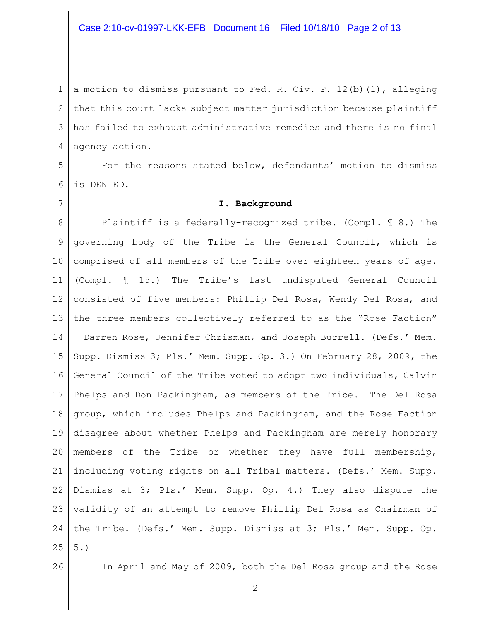# Case 2:10-cv-01997-LKK-EFB Document 16 Filed 10/18/10 Page 2 of 13

1 2 3 4 a motion to dismiss pursuant to Fed. R. Civ. P. 12(b)(1), alleging that this court lacks subject matter jurisdiction because plaintiff has failed to exhaust administrative remedies and there is no final agency action.

5 6 For the reasons stated below, defendants' motion to dismiss is DENIED.

### **I. Background**

8 9 10 11 12 13 14 15 16 17 18 19 20 21 22 23 validity of an attempt to remove Phillip Del Rosa as Chairman of 24 25 Plaintiff is a federally-recognized tribe. (Compl. ¶ 8.) The governing body of the Tribe is the General Council, which is comprised of all members of the Tribe over eighteen years of age. (Compl. ¶ 15.) The Tribe's last undisputed General Council consisted of five members: Phillip Del Rosa, Wendy Del Rosa, and the three members collectively referred to as the "Rose Faction" — Darren Rose, Jennifer Chrisman, and Joseph Burrell. (Defs.' Mem. Supp. Dismiss 3; Pls.' Mem. Supp. Op. 3.) On February 28, 2009, the General Council of the Tribe voted to adopt two individuals, Calvin Phelps and Don Packingham, as members of the Tribe. The Del Rosa group, which includes Phelps and Packingham, and the Rose Faction disagree about whether Phelps and Packingham are merely honorary members of the Tribe or whether they have full membership, including voting rights on all Tribal matters. (Defs.' Mem. Supp. Dismiss at 3; Pls.' Mem. Supp. Op. 4.) They also dispute the the Tribe. (Defs.' Mem. Supp. Dismiss at 3; Pls.' Mem. Supp. Op. 5.)

26

7

In April and May of 2009, both the Del Rosa group and the Rose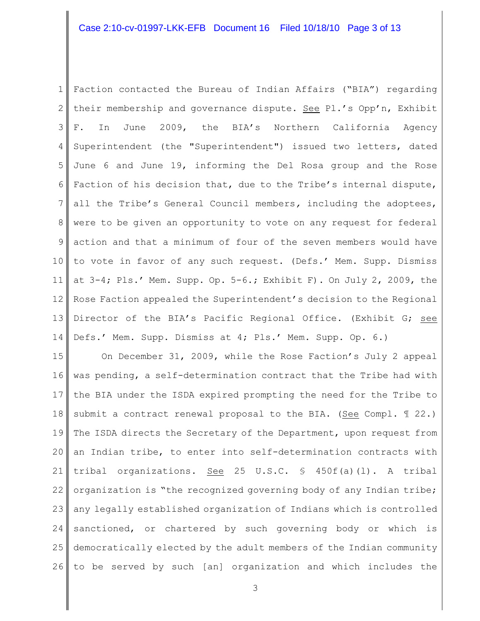## Case 2:10-cv-01997-LKK-EFB Document 16 Filed 10/18/10 Page 3 of 13

1 2 3 4 5 6 7 8 9 10 11 12 13 14 Faction contacted the Bureau of Indian Affairs ("BIA") regarding their membership and governance dispute. See Pl.'s Opp'n, Exhibit F. In June 2009, the BIA's Northern California Agency Superintendent (the "Superintendent") issued two letters, dated June 6 and June 19, informing the Del Rosa group and the Rose Faction of his decision that, due to the Tribe's internal dispute, all the Tribe's General Council members*,* including the adoptees, were to be given an opportunity to vote on any request for federal action and that a minimum of four of the seven members would have to vote in favor of any such request. (Defs.' Mem. Supp. Dismiss at 3-4; Pls.' Mem. Supp. Op. 5-6.; Exhibit F). On July 2, 2009, the Rose Faction appealed the Superintendent's decision to the Regional Director of the BIA's Pacific Regional Office. (Exhibit G; see Defs.' Mem. Supp. Dismiss at 4; Pls.' Mem. Supp. Op. 6.)

15 16 17 18 19 20 21 22 23 24 25 26 On December 31, 2009, while the Rose Faction's July 2 appeal was pending, a self-determination contract that the Tribe had with the BIA under the ISDA expired prompting the need for the Tribe to submit a contract renewal proposal to the BIA. (See Compl. 122.) The ISDA directs the Secretary of the Department, upon request from an Indian tribe, to enter into self-determination contracts with tribal organizations. See 25 U.S.C. § 450f(a)(l). A tribal organization is "the recognized governing body of any Indian tribe; any legally established organization of Indians which is controlled sanctioned, or chartered by such governing body or which is democratically elected by the adult members of the Indian community to be served by such [an] organization and which includes the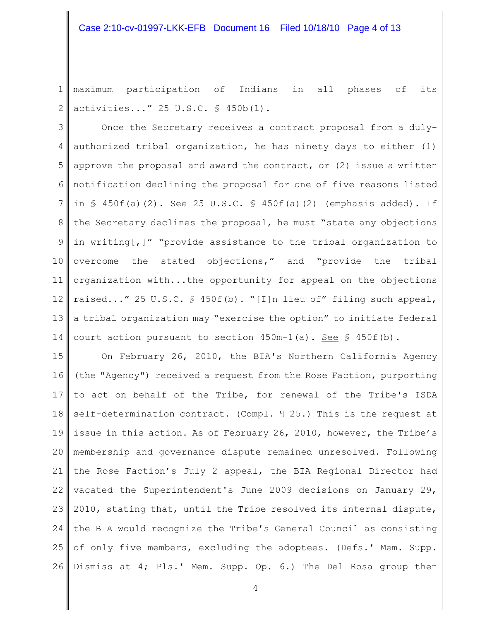## Case 2:10-cv-01997-LKK-EFB Document 16 Filed 10/18/10 Page 4 of 13

1 2 maximum participation of Indians in all phases of its activities..." 25 U.S.C. § 450b(l).

3 4 5 6 7 8 9 10 11 12 13 14 Once the Secretary receives a contract proposal from a dulyauthorized tribal organization, he has ninety days to either (1) approve the proposal and award the contract, or (2) issue a written notification declining the proposal for one of five reasons listed in  $\frac{1}{2}$  450f(a)(2). See 25 U.S.C.  $\frac{1}{2}$  450f(a)(2) (emphasis added). If the Secretary declines the proposal, he must "state any objections in writing[,]" "provide assistance to the tribal organization to overcome the stated objections," and "provide the tribal organization with...the opportunity for appeal on the objections raised..." 25 U.S.C. § 450f(b). "[I]n lieu of" filing such appeal, a tribal organization may "exercise the option" to initiate federal court action pursuant to section  $450m-1$  (a). See §  $450f(b)$ .

15 16 17 18 19 20 21 22 23 24 25 26 On February 26, 2010, the BIA's Northern California Agency (the "Agency") received a request from the Rose Faction, purporting to act on behalf of the Tribe, for renewal of the Tribe's ISDA self-determination contract. (Compl. ¶ 25.) This is the request at issue in this action. As of February 26, 2010, however, the Tribe's membership and governance dispute remained unresolved. Following the Rose Faction's July 2 appeal, the BIA Regional Director had vacated the Superintendent's June 2009 decisions on January 29, 2010, stating that, until the Tribe resolved its internal dispute, the BIA would recognize the Tribe's General Council as consisting of only five members, excluding the adoptees. (Defs.' Mem. Supp. Dismiss at 4; Pls.' Mem. Supp. Op. 6.) The Del Rosa group then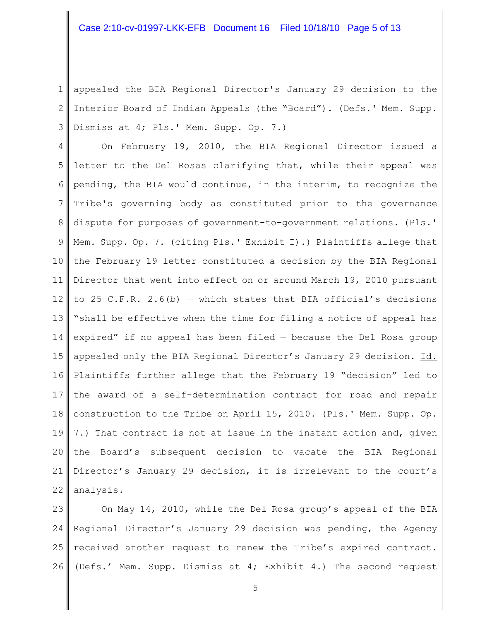## Case 2:10-cv-01997-LKK-EFB Document 16 Filed 10/18/10 Page 5 of 13

1 2 3 appealed the BIA Regional Director's January 29 decision to the Interior Board of Indian Appeals (the "Board"). (Defs.' Mem. Supp. Dismiss at 4; Pls.' Mem. Supp. Op. 7.)

4 5 6 7 8 9 10 11 12 13 14 15 16 17 18 19 20 21 22 On February 19, 2010, the BIA Regional Director issued a letter to the Del Rosas clarifying that, while their appeal was pending, the BIA would continue, in the interim, to recognize the Tribe's governing body as constituted prior to the governance dispute for purposes of government-to-government relations. (Pls.' Mem. Supp. Op. 7. (citing Pls.' Exhibit I).) Plaintiffs allege that the February 19 letter constituted a decision by the BIA Regional Director that went into effect on or around March 19, 2010 pursuant to 25 C.F.R. 2.6(b) – which states that BIA official's decisions "shall be effective when the time for filing a notice of appeal has expired" if no appeal has been filed — because the Del Rosa group appealed only the BIA Regional Director's January 29 decision. Id. Plaintiffs further allege that the February 19 "decision" led to the award of a self-determination contract for road and repair construction to the Tribe on April 15, 2010. (Pls.' Mem. Supp. Op. 7.) That contract is not at issue in the instant action and, given the Board's subsequent decision to vacate the BIA Regional Director's January 29 decision, it is irrelevant to the court's analysis.

23  $24$ 25 26 On May 14, 2010, while the Del Rosa group's appeal of the BIA Regional Director's January 29 decision was pending, the Agency received another request to renew the Tribe's expired contract. (Defs.' Mem. Supp. Dismiss at 4; Exhibit 4.) The second request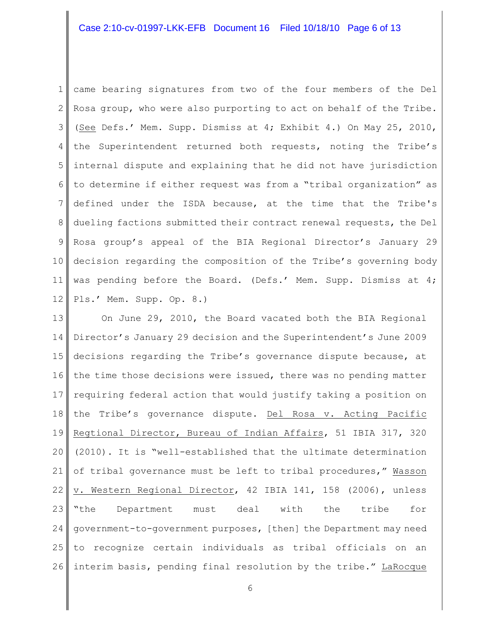## Case 2:10-cv-01997-LKK-EFB Document 16 Filed 10/18/10 Page 6 of 13

1 2 3 4 5 6 7 8 9 10 11 12 came bearing signatures from two of the four members of the Del Rosa group, who were also purporting to act on behalf of the Tribe. (See Defs.' Mem. Supp. Dismiss at 4; Exhibit 4.) On May 25, 2010, the Superintendent returned both requests, noting the Tribe's internal dispute and explaining that he did not have jurisdiction to determine if either request was from a "tribal organization" as defined under the ISDA because, at the time that the Tribe's dueling factions submitted their contract renewal requests, the Del Rosa group's appeal of the BIA Regional Director's January 29 decision regarding the composition of the Tribe's governing body was pending before the Board. (Defs.' Mem. Supp. Dismiss at 4; Pls.' Mem. Supp. Op. 8.)

13 14 15 16 17 18 19 20 21 22 23 24 25 26 On June 29, 2010, the Board vacated both the BIA Regional Director's January 29 decision and the Superintendent's June 2009 decisions regarding the Tribe's governance dispute because, at the time those decisions were issued, there was no pending matter requiring federal action that would justify taking a position on the Tribe's governance dispute. Del Rosa v. Acting Pacific Regtional Director, Bureau of Indian Affairs, 51 IBIA 317, 320 (2010). It is "well-established that the ultimate determination of tribal governance must be left to tribal procedures," Wasson v. Western Regional Director, 42 IBIA 141, 158 (2006), unless "the Department must deal with the tribe for government-to-government purposes, [then] the Department may need to recognize certain individuals as tribal officials on an interim basis, pending final resolution by the tribe." LaRocque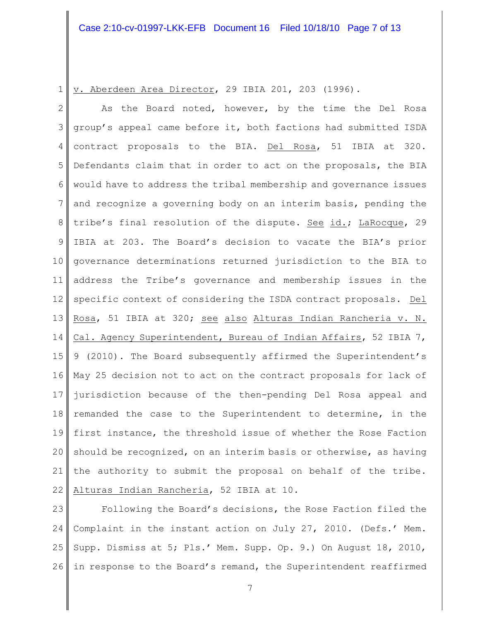1 v. Aberdeen Area Director, 29 IBIA 201, 203 (1996).

2 3 4 5 6 7 8 9 10 11 12 13 14 15 16 17 18 19 20 21 22 As the Board noted, however, by the time the Del Rosa group's appeal came before it, both factions had submitted ISDA contract proposals to the BIA. Del Rosa, 51 IBIA at 320. Defendants claim that in order to act on the proposals, the BIA would have to address the tribal membership and governance issues and recognize a governing body on an interim basis, pending the tribe's final resolution of the dispute. See id.; LaRocque, 29 IBIA at 203. The Board's decision to vacate the BIA's prior governance determinations returned jurisdiction to the BIA to address the Tribe's governance and membership issues in the specific context of considering the ISDA contract proposals. Del Rosa, 51 IBIA at 320; see also Alturas Indian Rancheria v. N. Cal. Agency Superintendent, Bureau of Indian Affairs, 52 IBIA 7, 9 (2010). The Board subsequently affirmed the Superintendent's May 25 decision not to act on the contract proposals for lack of jurisdiction because of the then-pending Del Rosa appeal and remanded the case to the Superintendent to determine, in the first instance, the threshold issue of whether the Rose Faction should be recognized, on an interim basis or otherwise, as having the authority to submit the proposal on behalf of the tribe. Alturas Indian Rancheria, 52 IBIA at 10.

23 24 25 26 Following the Board's decisions, the Rose Faction filed the Complaint in the instant action on July 27, 2010. (Defs.' Mem. Supp. Dismiss at 5; Pls.' Mem. Supp. Op. 9.) On August 18, 2010, in response to the Board's remand, the Superintendent reaffirmed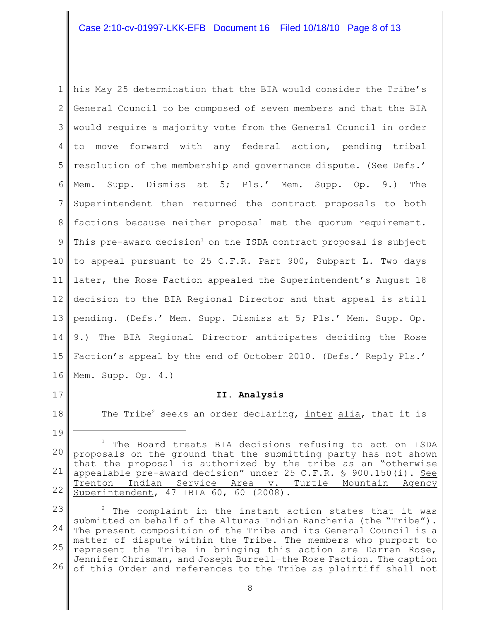# Case 2:10-cv-01997-LKK-EFB Document 16 Filed 10/18/10 Page 8 of 13

1 2 3 4 5 6 7 8 9 10 11 12 13 14 15 16 his May 25 determination that the BIA would consider the Tribe's General Council to be composed of seven members and that the BIA would require a majority vote from the General Council in order to move forward with any federal action, pending tribal resolution of the membership and governance dispute. (See Defs.' Mem. Supp. Dismiss at 5; Pls.' Mem. Supp. Op. 9.) The Superintendent then returned the contract proposals to both factions because neither proposal met the quorum requirement. This pre-award decision<sup>1</sup> on the ISDA contract proposal is subject to appeal pursuant to 25 C.F.R. Part 900, Subpart L. Two days later, the Rose Faction appealed the Superintendent's August 18 decision to the BIA Regional Director and that appeal is still pending. (Defs.' Mem. Supp. Dismiss at 5; Pls.' Mem. Supp. Op. 9.) The BIA Regional Director anticipates deciding the Rose Faction's appeal by the end of October 2010. (Defs.' Reply Pls.' Mem. Supp. Op. 4.)

17

18

19

### **II. Analysis**

The Tribe<sup>2</sup> seeks an order declaring, inter alia, that it is

23 24 25 26  $2$  The complaint in the instant action states that it was submitted on behalf of the Alturas Indian Rancheria (the "Tribe"). The present composition of the Tribe and its General Council is a matter of dispute within the Tribe. The members who purport to represent the Tribe in bringing this action are Darren Rose, Jennifer Chrisman, and Joseph Burrell–the Rose Faction. The caption of this Order and references to the Tribe as plaintiff shall not

<sup>20</sup> 21 22  $1$  The Board treats BIA decisions refusing to act on ISDA proposals on the ground that the submitting party has not shown that the proposal is authorized by the tribe as an "otherwise appealable pre-award decision" under 25 C.F.R. § 900.150(i). See Trenton Indian Service Area v. Turtle Mountain Agency Superintendent, 47 IBIA 60, 60 (2008).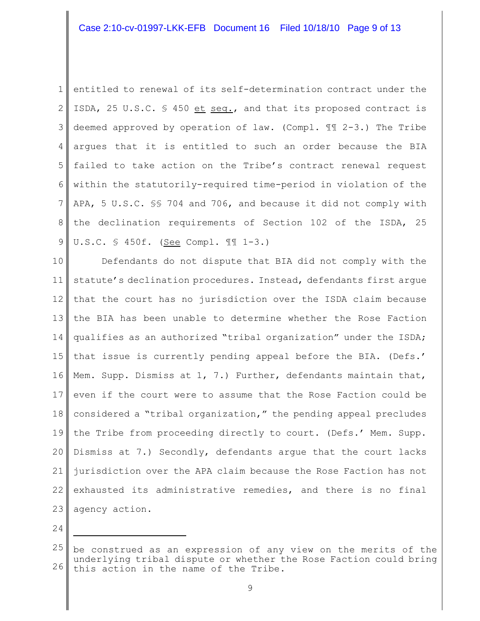1 2 3 4 5 6 7 8 9 entitled to renewal of its self-determination contract under the ISDA, 25 U.S.C. § 450 et seq., and that its proposed contract is deemed approved by operation of law. (Compl. ¶¶ 2-3.) The Tribe argues that it is entitled to such an order because the BIA failed to take action on the Tribe's contract renewal request within the statutorily-required time-period in violation of the APA, 5 U.S.C. §§ 704 and 706, and because it did not comply with the declination requirements of Section 102 of the ISDA, 25 U.S.C. § 450f. (See Compl. ¶¶ 1-3.)

10 11 12 13 14 15 16 17 18 19 20 21 22 23 Defendants do not dispute that BIA did not comply with the statute's declination procedures. Instead, defendants first argue that the court has no jurisdiction over the ISDA claim because the BIA has been unable to determine whether the Rose Faction qualifies as an authorized "tribal organization" under the ISDA; that issue is currently pending appeal before the BIA. (Defs.' Mem. Supp. Dismiss at  $1, 7.$ ) Further, defendants maintain that, even if the court were to assume that the Rose Faction could be considered a "tribal organization," the pending appeal precludes the Tribe from proceeding directly to court. (Defs.' Mem. Supp. Dismiss at 7.) Secondly, defendants argue that the court lacks jurisdiction over the APA claim because the Rose Faction has not exhausted its administrative remedies, and there is no final agency action.

<sup>25</sup> 26 be construed as an expression of any view on the merits of the underlying tribal dispute or whether the Rose Faction could bring this action in the name of the Tribe.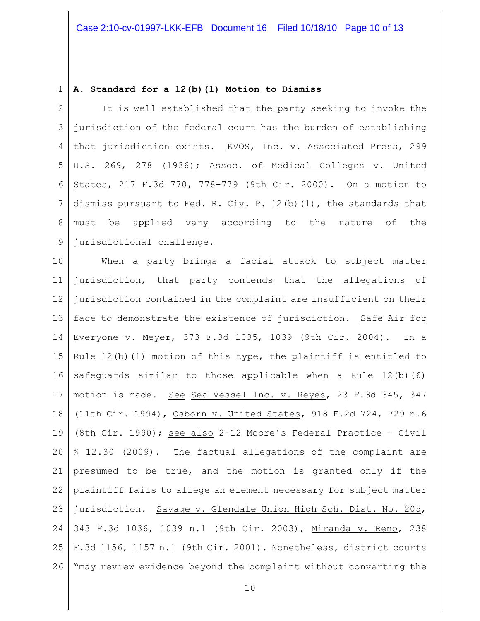#### 1 **A. Standard for a 12(b)(1) Motion to Dismiss**

2 3 4 5 6 7 8 9 It is well established that the party seeking to invoke the jurisdiction of the federal court has the burden of establishing that jurisdiction exists. KVOS, Inc. v. Associated Press, 299 U.S. 269, 278 (1936); Assoc. of Medical Colleges v. United States, 217 F.3d 770, 778-779 (9th Cir. 2000). On a motion to dismiss pursuant to Fed. R. Civ. P.  $12(b)(1)$ , the standards that must be applied vary according to the nature of the jurisdictional challenge.

10 11 12 13 14 15 16 17 18 19 20 21 22 23 24 25 26 When a party brings a facial attack to subject matter jurisdiction, that party contends that the allegations of jurisdiction contained in the complaint are insufficient on their face to demonstrate the existence of jurisdiction. Safe Air for Everyone v. Meyer, 373 F.3d 1035, 1039 (9th Cir. 2004). In a Rule  $12(b)$  (1) motion of this type, the plaintiff is entitled to safeguards similar to those applicable when a Rule 12(b)(6) motion is made. See Sea Vessel Inc. v. Reyes, 23 F.3d 345, 347 (11th Cir. 1994), Osborn v. United States, 918 F.2d 724, 729 n.6 (8th Cir. 1990); see also 2-12 Moore's Federal Practice - Civil § 12.30 (2009). The factual allegations of the complaint are presumed to be true, and the motion is granted only if the plaintiff fails to allege an element necessary for subject matter jurisdiction. Savage v. Glendale Union High Sch. Dist. No. 205, 343 F.3d 1036, 1039 n.1 (9th Cir. 2003), Miranda v. Reno, 238 F.3d 1156, 1157 n.1 (9th Cir. 2001). Nonetheless, district courts "may review evidence beyond the complaint without converting the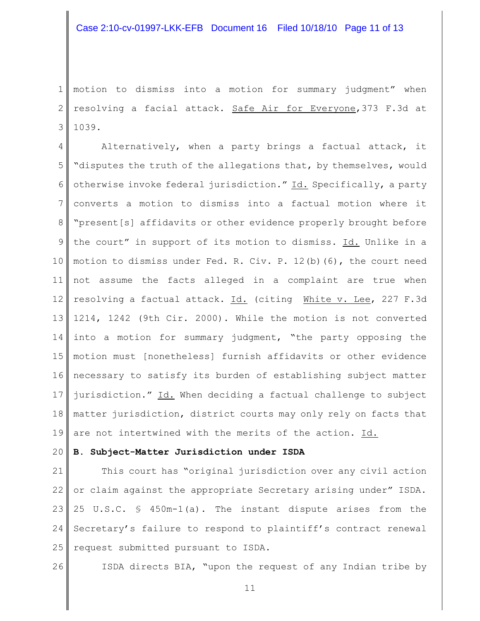1 2 3 motion to dismiss into a motion for summary judgment" when resolving a facial attack. Safe Air for Everyone,373 F.3d at 1039.

4 5 6 7 8 9 10 11 12 13 14 15 16 17 18 19 Alternatively, when a party brings a factual attack, it "disputes the truth of the allegations that, by themselves, would otherwise invoke federal jurisdiction." Id. Specifically, a party converts a motion to dismiss into a factual motion where it "present[s] affidavits or other evidence properly brought before the court" in support of its motion to dismiss. Id. Unlike in a motion to dismiss under Fed. R. Civ. P. 12(b)(6), the court need not assume the facts alleged in a complaint are true when resolving a factual attack. Id. (citing White v. Lee, 227 F.3d 1214, 1242 (9th Cir. 2000). While the motion is not converted into a motion for summary judgment, "the party opposing the motion must [nonetheless] furnish affidavits or other evidence necessary to satisfy its burden of establishing subject matter jurisdiction." Id. When deciding a factual challenge to subject matter jurisdiction, district courts may only rely on facts that are not intertwined with the merits of the action. Id.

#### 20 **B. Subject-Matter Jurisdiction under ISDA**

21 22 23 24 25 This court has "original jurisdiction over any civil action or claim against the appropriate Secretary arising under" ISDA. 25 U.S.C. § 450m-1(a). The instant dispute arises from the Secretary's failure to respond to plaintiff's contract renewal request submitted pursuant to ISDA.

26

ISDA directs BIA, "upon the request of any Indian tribe by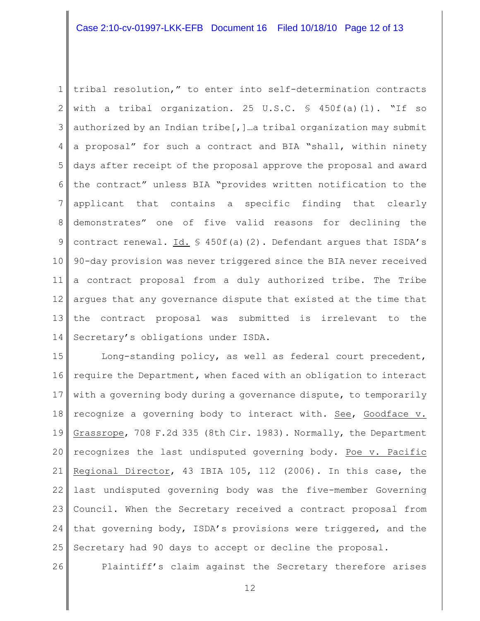## Case 2:10-cv-01997-LKK-EFB Document 16 Filed 10/18/10 Page 12 of 13

1 2 3 4 5 6 7 8 9 10 11 12 13 14 tribal resolution," to enter into self-determination contracts with a tribal organization. 25 U.S.C.  $\frac{1}{5}$  450f(a)(1). "If so authorized by an Indian tribe[,]…a tribal organization may submit a proposal" for such a contract and BIA "shall, within ninety days after receipt of the proposal approve the proposal and award the contract" unless BIA "provides written notification to the applicant that contains a specific finding that clearly demonstrates" one of five valid reasons for declining the contract renewal. Id. § 450f(a)(2). Defendant argues that ISDA's 90-day provision was never triggered since the BIA never received a contract proposal from a duly authorized tribe. The Tribe argues that any governance dispute that existed at the time that the contract proposal was submitted is irrelevant to the Secretary's obligations under ISDA.

15 16 17 18 19 20 21 22 23 24 25 Long-standing policy, as well as federal court precedent, require the Department**,** when faced with an obligation to interact with a governing body during a governance dispute, to temporarily recognize a governing body to interact with. See, Goodface v. Grassrope, 708 F.2d 335 (8th Cir. 1983). Normally, the Department recognizes the last undisputed governing body. Poe v. Pacific Regional Director, 43 IBIA 105, 112 (2006). In this case, the last undisputed governing body was the five-member Governing Council. When the Secretary received a contract proposal from that governing body, ISDA's provisions were triggered, and the Secretary had 90 days to accept or decline the proposal.

26

Plaintiff's claim against the Secretary therefore arises